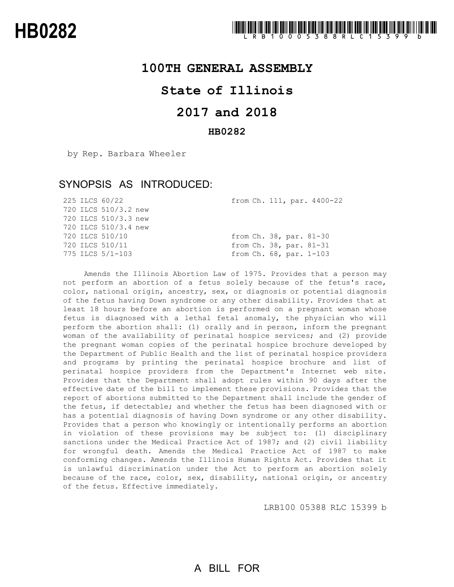### **100TH GENERAL ASSEMBLY**

## **State of Illinois**

# **2017 and 2018**

#### **HB0282**

by Rep. Barbara Wheeler

### SYNOPSIS AS INTRODUCED:

| from Ch. 111, par. 4400-22 |
|----------------------------|
|                            |
|                            |
|                            |
| from Ch. 38, par. 81-30    |
| from Ch. 38, par. 81-31    |
| from Ch. 68, par. 1-103    |
|                            |

Amends the Illinois Abortion Law of 1975. Provides that a person may not perform an abortion of a fetus solely because of the fetus's race, color, national origin, ancestry, sex, or diagnosis or potential diagnosis of the fetus having Down syndrome or any other disability. Provides that at least 18 hours before an abortion is performed on a pregnant woman whose fetus is diagnosed with a lethal fetal anomaly, the physician who will perform the abortion shall: (1) orally and in person, inform the pregnant woman of the availability of perinatal hospice services; and (2) provide the pregnant woman copies of the perinatal hospice brochure developed by the Department of Public Health and the list of perinatal hospice providers and programs by printing the perinatal hospice brochure and list of perinatal hospice providers from the Department's Internet web site. Provides that the Department shall adopt rules within 90 days after the effective date of the bill to implement these provisions. Provides that the report of abortions submitted to the Department shall include the gender of the fetus, if detectable; and whether the fetus has been diagnosed with or has a potential diagnosis of having Down syndrome or any other disability. Provides that a person who knowingly or intentionally performs an abortion in violation of these provisions may be subject to: (1) disciplinary sanctions under the Medical Practice Act of 1987; and (2) civil liability for wrongful death. Amends the Medical Practice Act of 1987 to make conforming changes. Amends the Illinois Human Rights Act. Provides that it is unlawful discrimination under the Act to perform an abortion solely because of the race, color, sex, disability, national origin, or ancestry of the fetus. Effective immediately.

LRB100 05388 RLC 15399 b

# A BILL FOR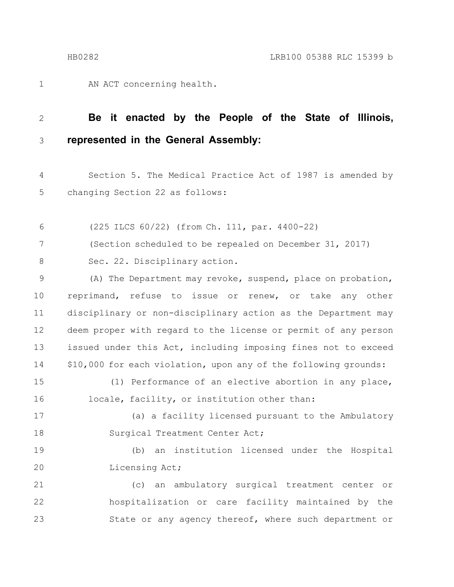1

AN ACT concerning health.

#### **Be it enacted by the People of the State of Illinois, represented in the General Assembly:** 2 3

Section 5. The Medical Practice Act of 1987 is amended by changing Section 22 as follows: 4 5

(225 ILCS 60/22) (from Ch. 111, par. 4400-22) 6

(Section scheduled to be repealed on December 31, 2017) 7

Sec. 22. Disciplinary action. 8

(A) The Department may revoke, suspend, place on probation, reprimand, refuse to issue or renew, or take any other disciplinary or non-disciplinary action as the Department may deem proper with regard to the license or permit of any person issued under this Act, including imposing fines not to exceed \$10,000 for each violation, upon any of the following grounds: 9 10 11 12 13 14

(1) Performance of an elective abortion in any place, 15

locale, facility, or institution other than:

17

16

18

(a) a facility licensed pursuant to the Ambulatory Surgical Treatment Center Act;

(b) an institution licensed under the Hospital Licensing Act; 19 20

(c) an ambulatory surgical treatment center or hospitalization or care facility maintained by the State or any agency thereof, where such department or 21 22 23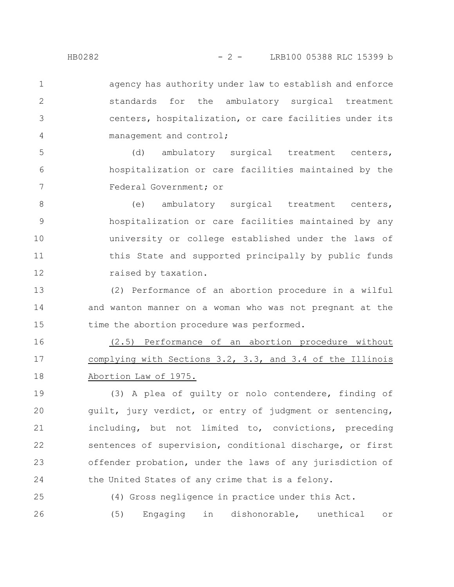agency has authority under law to establish and enforce standards for the ambulatory surgical treatment centers, hospitalization, or care facilities under its management and control; 1 2 3 4

(d) ambulatory surgical treatment centers, hospitalization or care facilities maintained by the Federal Government; or 5 6 7

(e) ambulatory surgical treatment centers, hospitalization or care facilities maintained by any university or college established under the laws of this State and supported principally by public funds raised by taxation. 8 9 10 11 12

(2) Performance of an abortion procedure in a wilful and wanton manner on a woman who was not pregnant at the time the abortion procedure was performed. 13 14 15

(2.5) Performance of an abortion procedure without complying with Sections 3.2, 3.3, and 3.4 of the Illinois Abortion Law of 1975. 16 17 18

(3) A plea of guilty or nolo contendere, finding of guilt, jury verdict, or entry of judgment or sentencing, including, but not limited to, convictions, preceding sentences of supervision, conditional discharge, or first offender probation, under the laws of any jurisdiction of the United States of any crime that is a felony. 19 20 21 22 23 24

(4) Gross negligence in practice under this Act. (5) Engaging in dishonorable, unethical or 25 26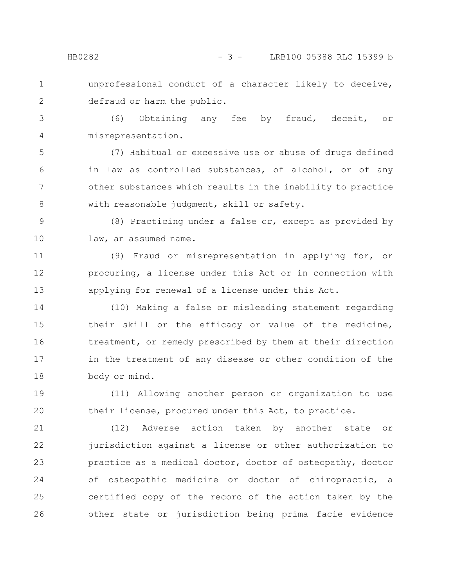1

2

unprofessional conduct of a character likely to deceive, defraud or harm the public.

(6) Obtaining any fee by fraud, deceit, or misrepresentation. 3 4

(7) Habitual or excessive use or abuse of drugs defined in law as controlled substances, of alcohol, or of any other substances which results in the inability to practice with reasonable judgment, skill or safety. 5 6 7 8

(8) Practicing under a false or, except as provided by law, an assumed name. 9 10

(9) Fraud or misrepresentation in applying for, or procuring, a license under this Act or in connection with applying for renewal of a license under this Act. 11 12 13

(10) Making a false or misleading statement regarding their skill or the efficacy or value of the medicine, treatment, or remedy prescribed by them at their direction in the treatment of any disease or other condition of the body or mind. 14 15 16 17 18

(11) Allowing another person or organization to use their license, procured under this Act, to practice. 19 20

(12) Adverse action taken by another state or jurisdiction against a license or other authorization to practice as a medical doctor, doctor of osteopathy, doctor of osteopathic medicine or doctor of chiropractic, a certified copy of the record of the action taken by the other state or jurisdiction being prima facie evidence 21 22 23 24 25 26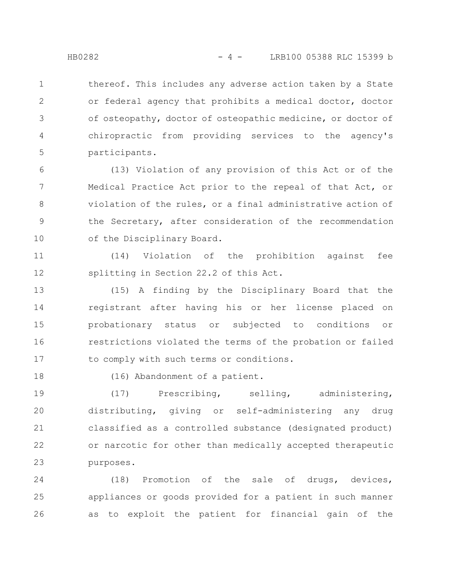thereof. This includes any adverse action taken by a State or federal agency that prohibits a medical doctor, doctor of osteopathy, doctor of osteopathic medicine, or doctor of chiropractic from providing services to the agency's participants. 1 2 3 4 5

(13) Violation of any provision of this Act or of the Medical Practice Act prior to the repeal of that Act, or violation of the rules, or a final administrative action of the Secretary, after consideration of the recommendation of the Disciplinary Board. 6 7 8 9 10

(14) Violation of the prohibition against fee splitting in Section 22.2 of this Act. 11 12

(15) A finding by the Disciplinary Board that the registrant after having his or her license placed on probationary status or subjected to conditions or restrictions violated the terms of the probation or failed to comply with such terms or conditions. 13 14 15 16 17

18

(16) Abandonment of a patient.

(17) Prescribing, selling, administering, distributing, giving or self-administering any drug classified as a controlled substance (designated product) or narcotic for other than medically accepted therapeutic purposes. 19 20 21 22 23

(18) Promotion of the sale of drugs, devices, appliances or goods provided for a patient in such manner as to exploit the patient for financial gain of the 24 25 26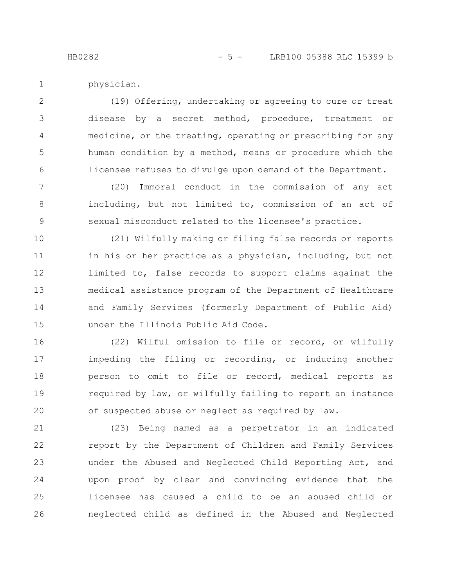physician. 1

(19) Offering, undertaking or agreeing to cure or treat disease by a secret method, procedure, treatment or medicine, or the treating, operating or prescribing for any human condition by a method, means or procedure which the licensee refuses to divulge upon demand of the Department. 2 3 4 5 6

(20) Immoral conduct in the commission of any act including, but not limited to, commission of an act of sexual misconduct related to the licensee's practice. 7 8 9

(21) Wilfully making or filing false records or reports in his or her practice as a physician, including, but not limited to, false records to support claims against the medical assistance program of the Department of Healthcare and Family Services (formerly Department of Public Aid) under the Illinois Public Aid Code. 10 11 12 13 14 15

(22) Wilful omission to file or record, or wilfully impeding the filing or recording, or inducing another person to omit to file or record, medical reports as required by law, or wilfully failing to report an instance of suspected abuse or neglect as required by law. 16 17 18 19 20

(23) Being named as a perpetrator in an indicated report by the Department of Children and Family Services under the Abused and Neglected Child Reporting Act, and upon proof by clear and convincing evidence that the licensee has caused a child to be an abused child or neglected child as defined in the Abused and Neglected 21 22 23 24 25 26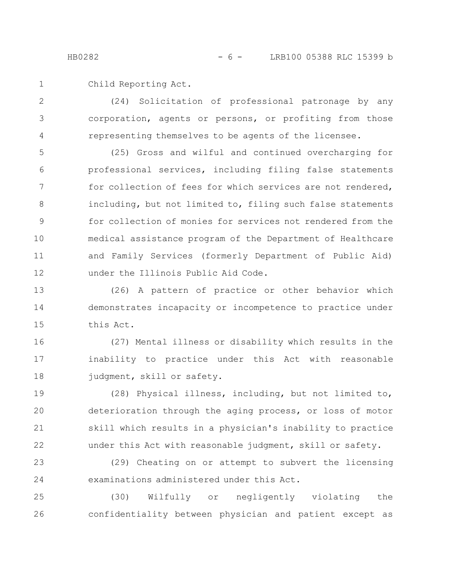Child Reporting Act. 1

(24) Solicitation of professional patronage by any corporation, agents or persons, or profiting from those representing themselves to be agents of the licensee. 2 3 4

(25) Gross and wilful and continued overcharging for professional services, including filing false statements for collection of fees for which services are not rendered, including, but not limited to, filing such false statements for collection of monies for services not rendered from the medical assistance program of the Department of Healthcare and Family Services (formerly Department of Public Aid) under the Illinois Public Aid Code. 5 6 7 8 9 10 11 12

(26) A pattern of practice or other behavior which demonstrates incapacity or incompetence to practice under this Act. 13 14 15

(27) Mental illness or disability which results in the inability to practice under this Act with reasonable judgment, skill or safety. 16 17 18

(28) Physical illness, including, but not limited to, deterioration through the aging process, or loss of motor skill which results in a physician's inability to practice under this Act with reasonable judgment, skill or safety. 19 20 21 22

(29) Cheating on or attempt to subvert the licensing examinations administered under this Act. 23 24

(30) Wilfully or negligently violating the confidentiality between physician and patient except as 25 26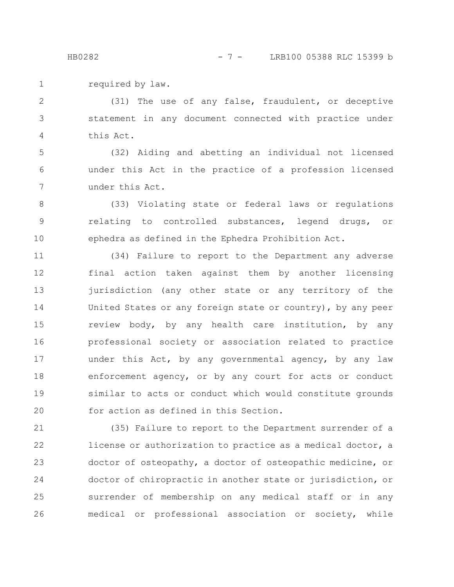required by law. 1

(31) The use of any false, fraudulent, or deceptive statement in any document connected with practice under this Act. 2 3 4

(32) Aiding and abetting an individual not licensed under this Act in the practice of a profession licensed under this Act. 5 6 7

(33) Violating state or federal laws or regulations relating to controlled substances, legend drugs, or ephedra as defined in the Ephedra Prohibition Act. 8 9 10

(34) Failure to report to the Department any adverse final action taken against them by another licensing jurisdiction (any other state or any territory of the United States or any foreign state or country), by any peer review body, by any health care institution, by any professional society or association related to practice under this Act, by any governmental agency, by any law enforcement agency, or by any court for acts or conduct similar to acts or conduct which would constitute grounds for action as defined in this Section. 11 12 13 14 15 16 17 18 19 20

(35) Failure to report to the Department surrender of a license or authorization to practice as a medical doctor, a doctor of osteopathy, a doctor of osteopathic medicine, or doctor of chiropractic in another state or jurisdiction, or surrender of membership on any medical staff or in any medical or professional association or society, while 21 22 23 24 25 26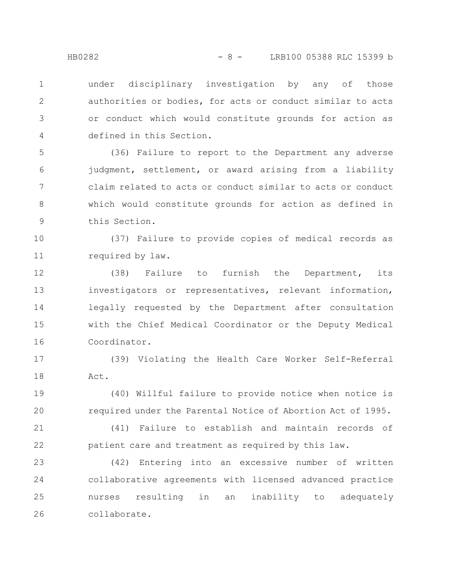under disciplinary investigation by any of those authorities or bodies, for acts or conduct similar to acts or conduct which would constitute grounds for action as defined in this Section. 1 2 3 4

(36) Failure to report to the Department any adverse judgment, settlement, or award arising from a liability claim related to acts or conduct similar to acts or conduct which would constitute grounds for action as defined in this Section. 5 6 7 8 9

(37) Failure to provide copies of medical records as required by law. 10 11

(38) Failure to furnish the Department, its investigators or representatives, relevant information, legally requested by the Department after consultation with the Chief Medical Coordinator or the Deputy Medical Coordinator. 12 13 14 15 16

(39) Violating the Health Care Worker Self-Referral Act. 17 18

(40) Willful failure to provide notice when notice is required under the Parental Notice of Abortion Act of 1995. 19 20

(41) Failure to establish and maintain records of patient care and treatment as required by this law. 21 22

(42) Entering into an excessive number of written collaborative agreements with licensed advanced practice nurses resulting in an inability to adequately collaborate. 23 24 25 26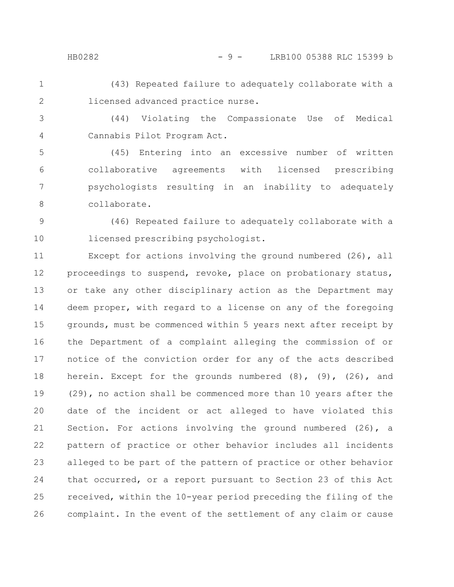#### HB0282 - 9 - LRB100 05388 RLC 15399 b

(43) Repeated failure to adequately collaborate with a licensed advanced practice nurse. 1 2

(44) Violating the Compassionate Use of Medical Cannabis Pilot Program Act. 3 4

(45) Entering into an excessive number of written collaborative agreements with licensed prescribing psychologists resulting in an inability to adequately collaborate. 5 6 7 8

(46) Repeated failure to adequately collaborate with a licensed prescribing psychologist. 9 10

Except for actions involving the ground numbered (26), all proceedings to suspend, revoke, place on probationary status, or take any other disciplinary action as the Department may deem proper, with regard to a license on any of the foregoing grounds, must be commenced within 5 years next after receipt by the Department of a complaint alleging the commission of or notice of the conviction order for any of the acts described herein. Except for the grounds numbered (8), (9), (26), and (29), no action shall be commenced more than 10 years after the date of the incident or act alleged to have violated this Section. For actions involving the ground numbered (26), a pattern of practice or other behavior includes all incidents alleged to be part of the pattern of practice or other behavior that occurred, or a report pursuant to Section 23 of this Act received, within the 10-year period preceding the filing of the complaint. In the event of the settlement of any claim or cause 11 12 13 14 15 16 17 18 19 20 21 22 23 24 25 26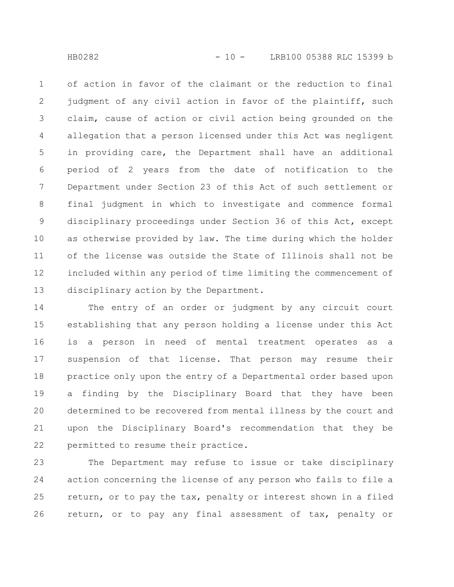of action in favor of the claimant or the reduction to final judgment of any civil action in favor of the plaintiff, such claim, cause of action or civil action being grounded on the allegation that a person licensed under this Act was negligent in providing care, the Department shall have an additional period of 2 years from the date of notification to the Department under Section 23 of this Act of such settlement or final judgment in which to investigate and commence formal disciplinary proceedings under Section 36 of this Act, except as otherwise provided by law. The time during which the holder of the license was outside the State of Illinois shall not be included within any period of time limiting the commencement of disciplinary action by the Department. 1 2 3 4 5 6 7 8 9 10 11 12 13

The entry of an order or judgment by any circuit court establishing that any person holding a license under this Act is a person in need of mental treatment operates as a suspension of that license. That person may resume their practice only upon the entry of a Departmental order based upon a finding by the Disciplinary Board that they have been determined to be recovered from mental illness by the court and upon the Disciplinary Board's recommendation that they be permitted to resume their practice. 14 15 16 17 18 19 20 21 22

The Department may refuse to issue or take disciplinary action concerning the license of any person who fails to file a return, or to pay the tax, penalty or interest shown in a filed return, or to pay any final assessment of tax, penalty or 23 24 25 26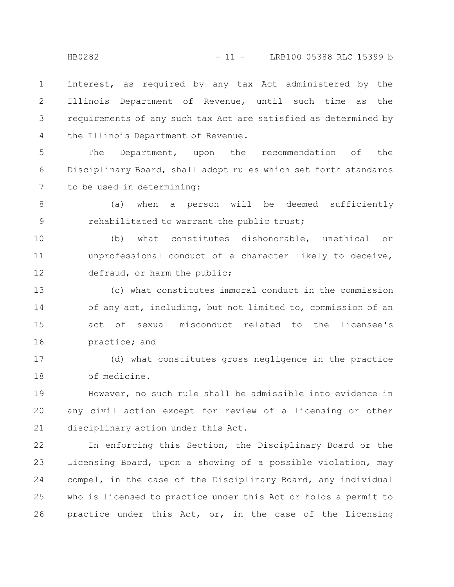interest, as required by any tax Act administered by the Illinois Department of Revenue, until such time as the requirements of any such tax Act are satisfied as determined by the Illinois Department of Revenue. 1 2 3 4

The Department, upon the recommendation of the Disciplinary Board, shall adopt rules which set forth standards to be used in determining: 5 6 7

(a) when a person will be deemed sufficiently rehabilitated to warrant the public trust; 8 9

(b) what constitutes dishonorable, unethical or unprofessional conduct of a character likely to deceive, defraud, or harm the public; 10 11 12

(c) what constitutes immoral conduct in the commission of any act, including, but not limited to, commission of an act of sexual misconduct related to the licensee's practice; and 13 14 15 16

(d) what constitutes gross negligence in the practice of medicine. 17 18

However, no such rule shall be admissible into evidence in any civil action except for review of a licensing or other disciplinary action under this Act. 19 20 21

In enforcing this Section, the Disciplinary Board or the Licensing Board, upon a showing of a possible violation, may compel, in the case of the Disciplinary Board, any individual who is licensed to practice under this Act or holds a permit to practice under this Act, or, in the case of the Licensing 22 23 24 25 26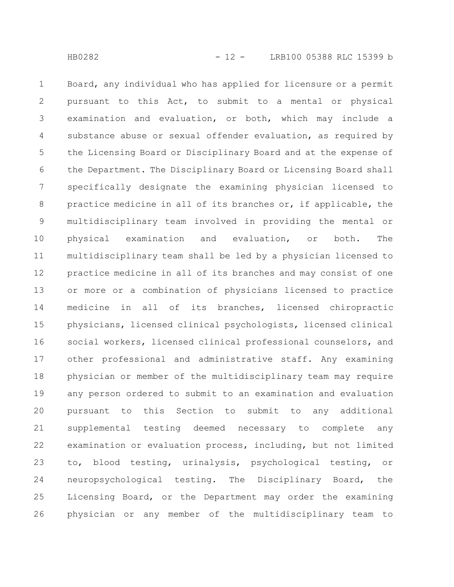Board, any individual who has applied for licensure or a permit pursuant to this Act, to submit to a mental or physical examination and evaluation, or both, which may include a substance abuse or sexual offender evaluation, as required by the Licensing Board or Disciplinary Board and at the expense of the Department. The Disciplinary Board or Licensing Board shall specifically designate the examining physician licensed to practice medicine in all of its branches or, if applicable, the multidisciplinary team involved in providing the mental or physical examination and evaluation, or both. The multidisciplinary team shall be led by a physician licensed to practice medicine in all of its branches and may consist of one or more or a combination of physicians licensed to practice medicine in all of its branches, licensed chiropractic physicians, licensed clinical psychologists, licensed clinical social workers, licensed clinical professional counselors, and other professional and administrative staff. Any examining physician or member of the multidisciplinary team may require any person ordered to submit to an examination and evaluation pursuant to this Section to submit to any additional supplemental testing deemed necessary to complete any examination or evaluation process, including, but not limited to, blood testing, urinalysis, psychological testing, or neuropsychological testing. The Disciplinary Board, the Licensing Board, or the Department may order the examining physician or any member of the multidisciplinary team to 1 2 3 4 5 6 7 8 9 10 11 12 13 14 15 16 17 18 19 20 21 22 23 24 25 26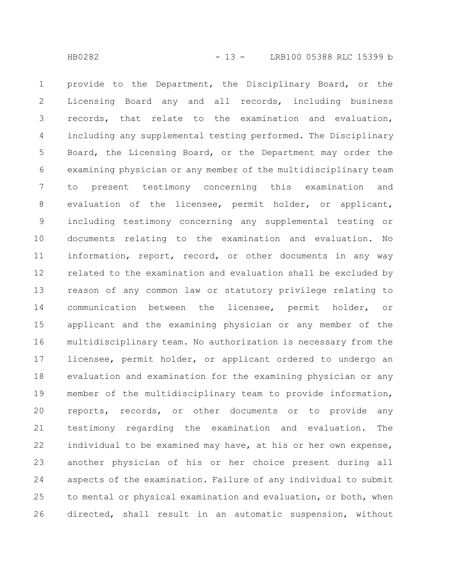provide to the Department, the Disciplinary Board, or the Licensing Board any and all records, including business records, that relate to the examination and evaluation, including any supplemental testing performed. The Disciplinary Board, the Licensing Board, or the Department may order the examining physician or any member of the multidisciplinary team to present testimony concerning this examination and evaluation of the licensee, permit holder, or applicant, including testimony concerning any supplemental testing or documents relating to the examination and evaluation. No information, report, record, or other documents in any way related to the examination and evaluation shall be excluded by reason of any common law or statutory privilege relating to communication between the licensee, permit holder, or applicant and the examining physician or any member of the multidisciplinary team. No authorization is necessary from the licensee, permit holder, or applicant ordered to undergo an evaluation and examination for the examining physician or any member of the multidisciplinary team to provide information, reports, records, or other documents or to provide any testimony regarding the examination and evaluation. The individual to be examined may have, at his or her own expense, another physician of his or her choice present during all aspects of the examination. Failure of any individual to submit to mental or physical examination and evaluation, or both, when directed, shall result in an automatic suspension, without 1 2 3 4 5 6 7 8 9 10 11 12 13 14 15 16 17 18 19 20 21 22 23 24 25 26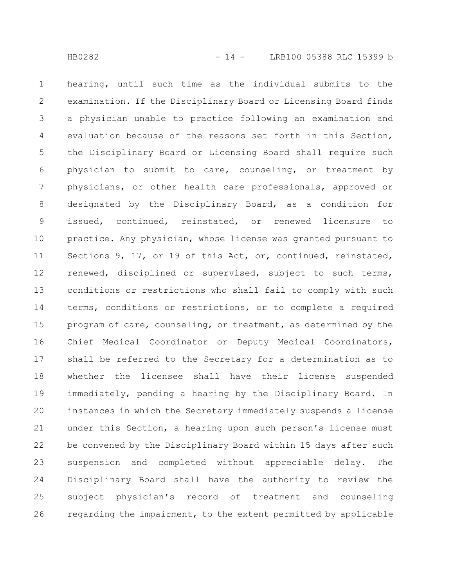hearing, until such time as the individual submits to the examination. If the Disciplinary Board or Licensing Board finds a physician unable to practice following an examination and evaluation because of the reasons set forth in this Section, the Disciplinary Board or Licensing Board shall require such physician to submit to care, counseling, or treatment by physicians, or other health care professionals, approved or designated by the Disciplinary Board, as a condition for issued, continued, reinstated, or renewed licensure to practice. Any physician, whose license was granted pursuant to Sections 9, 17, or 19 of this Act, or, continued, reinstated, renewed, disciplined or supervised, subject to such terms, conditions or restrictions who shall fail to comply with such terms, conditions or restrictions, or to complete a required program of care, counseling, or treatment, as determined by the Chief Medical Coordinator or Deputy Medical Coordinators, shall be referred to the Secretary for a determination as to whether the licensee shall have their license suspended immediately, pending a hearing by the Disciplinary Board. In instances in which the Secretary immediately suspends a license under this Section, a hearing upon such person's license must be convened by the Disciplinary Board within 15 days after such suspension and completed without appreciable delay. The Disciplinary Board shall have the authority to review the subject physician's record of treatment and counseling regarding the impairment, to the extent permitted by applicable 1 2 3 4 5 6 7 8 9 10 11 12 13 14 15 16 17 18 19 20 21 22 23 24 25 26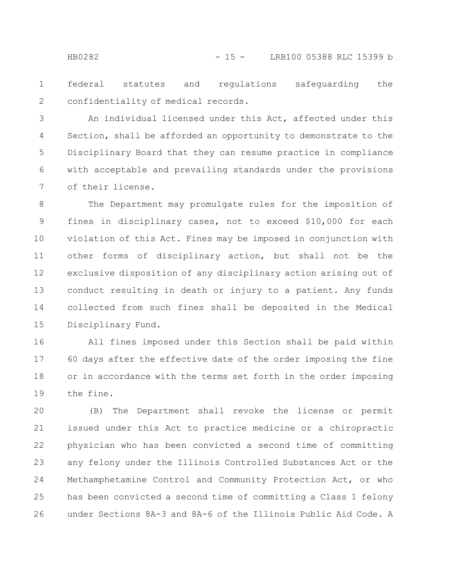federal statutes and regulations safeguarding the confidentiality of medical records. 1 2

An individual licensed under this Act, affected under this Section, shall be afforded an opportunity to demonstrate to the Disciplinary Board that they can resume practice in compliance with acceptable and prevailing standards under the provisions of their license. 3 4 5 6 7

The Department may promulgate rules for the imposition of fines in disciplinary cases, not to exceed \$10,000 for each violation of this Act. Fines may be imposed in conjunction with other forms of disciplinary action, but shall not be the exclusive disposition of any disciplinary action arising out of conduct resulting in death or injury to a patient. Any funds collected from such fines shall be deposited in the Medical Disciplinary Fund. 8 9 10 11 12 13 14 15

All fines imposed under this Section shall be paid within 60 days after the effective date of the order imposing the fine or in accordance with the terms set forth in the order imposing the fine. 16 17 18 19

(B) The Department shall revoke the license or permit issued under this Act to practice medicine or a chiropractic physician who has been convicted a second time of committing any felony under the Illinois Controlled Substances Act or the Methamphetamine Control and Community Protection Act, or who has been convicted a second time of committing a Class 1 felony under Sections 8A-3 and 8A-6 of the Illinois Public Aid Code. A 20 21 22 23 24 25 26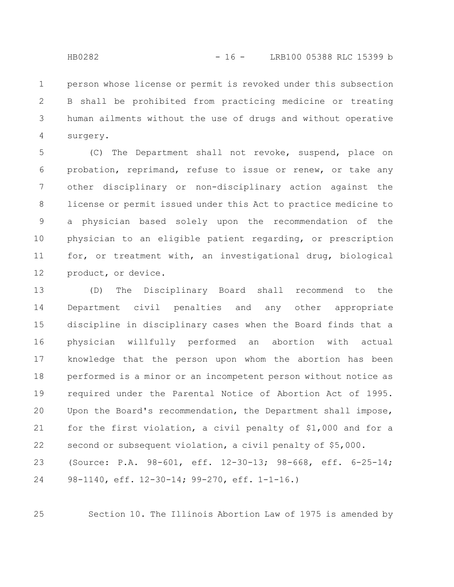person whose license or permit is revoked under this subsection B shall be prohibited from practicing medicine or treating human ailments without the use of drugs and without operative surgery. 1 2 3 4

(C) The Department shall not revoke, suspend, place on probation, reprimand, refuse to issue or renew, or take any other disciplinary or non-disciplinary action against the license or permit issued under this Act to practice medicine to a physician based solely upon the recommendation of the physician to an eligible patient regarding, or prescription for, or treatment with, an investigational drug, biological product, or device. 5 6 7 8 9 10 11 12

(D) The Disciplinary Board shall recommend to the Department civil penalties and any other appropriate discipline in disciplinary cases when the Board finds that a physician willfully performed an abortion with actual knowledge that the person upon whom the abortion has been performed is a minor or an incompetent person without notice as required under the Parental Notice of Abortion Act of 1995. Upon the Board's recommendation, the Department shall impose, for the first violation, a civil penalty of \$1,000 and for a second or subsequent violation, a civil penalty of \$5,000. (Source: P.A. 98-601, eff. 12-30-13; 98-668, eff. 6-25-14; 98-1140, eff. 12-30-14; 99-270, eff. 1-1-16.) 13 14 15 16 17 18 19 20 21 22 23 24

Section 10. The Illinois Abortion Law of 1975 is amended by

25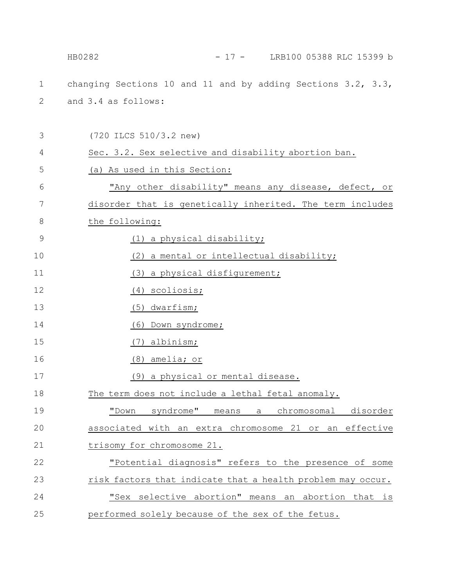|               | $-17 -$ LRB100 05388 RLC 15399 b<br>HB0282                   |
|---------------|--------------------------------------------------------------|
| $\mathbf 1$   | changing Sections 10 and 11 and by adding Sections 3.2, 3.3, |
| 2             | and 3.4 as follows:                                          |
|               |                                                              |
| 3             | (720 ILCS 510/3.2 new)                                       |
| 4             | Sec. 3.2. Sex selective and disability abortion ban.         |
| 5             | (a) As used in this Section:                                 |
| 6             | "Any other disability" means any disease, defect, or         |
| 7             | disorder that is genetically inherited. The term includes    |
| 8             | the following:                                               |
| $\mathcal{G}$ | (1) a physical disability;                                   |
| 10            | (2) a mental or intellectual disability;                     |
| 11            | (3) a physical disfigurement;                                |
| 12            | (4) scoliosis;                                               |
| 13            | $(5)$ dwarfism;                                              |
| 14            | (6) Down syndrome;                                           |
| 15            | (7) albinism;                                                |
| 16            | (8) amelia; or                                               |
| 17            | (9) a physical or mental disease.                            |
| 18            | The term does not include a lethal fetal anomaly.            |
| 19            | "Down syndrome" means a chromosomal disorder                 |
| 20            | associated with an extra chromosome 21 or an effective       |
| 21            | trisomy for chromosome 21.                                   |
| 22            | "Potential diagnosis" refers to the presence of some         |
| 23            | risk factors that indicate that a health problem may occur.  |
| 24            | "Sex selective abortion" means an abortion that is           |
| 25            | performed solely because of the sex of the fetus.            |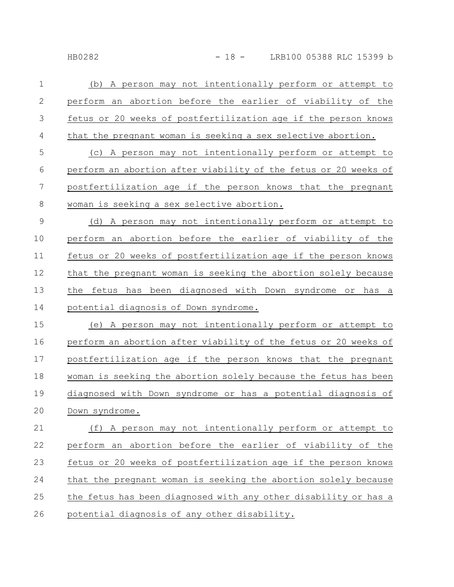| $\mathbf 1$   | A person may not intentionally perform or attempt to<br>(b)     |
|---------------|-----------------------------------------------------------------|
| $\mathbf{2}$  | perform an abortion before the earlier of viability of the      |
| 3             | fetus or 20 weeks of postfertilization age if the person knows  |
| 4             | that the pregnant woman is seeking a sex selective abortion.    |
| 5             | (c) A person may not intentionally perform or attempt to        |
| 6             | perform an abortion after viability of the fetus or 20 weeks of |
| 7             | postfertilization age if the person knows that the pregnant     |
| $8\,$         | woman is seeking a sex selective abortion.                      |
| $\mathcal{G}$ | (d) A person may not intentionally perform or attempt to        |
| 10            | perform an abortion before the earlier of viability of the      |
| 11            | fetus or 20 weeks of postfertilization age if the person knows  |
| 12            | that the pregnant woman is seeking the abortion solely because  |
| 13            | the fetus has been diagnosed with Down syndrome or has a        |
| 14            | potential diagnosis of Down syndrome.                           |
| 15            | (e) A person may not intentionally perform or attempt to        |
| 16            | perform an abortion after viability of the fetus or 20 weeks of |
| 17            | postfertilization age if the person knows that the pregnant     |
| 18            | woman is seeking the abortion solely because the fetus has been |
| 19            | diagnosed with Down syndrome or has a potential diagnosis of    |
| 20            | Down syndrome.                                                  |
| 21            | (f) A person may not intentionally perform or attempt to        |
| 22            | perform an abortion before the earlier of viability of the      |
| 23            | fetus or 20 weeks of postfertilization age if the person knows  |
| 24            | that the pregnant woman is seeking the abortion solely because  |
| 25            | the fetus has been diagnosed with any other disability or has a |
| 26            | potential diagnosis of any other disability.                    |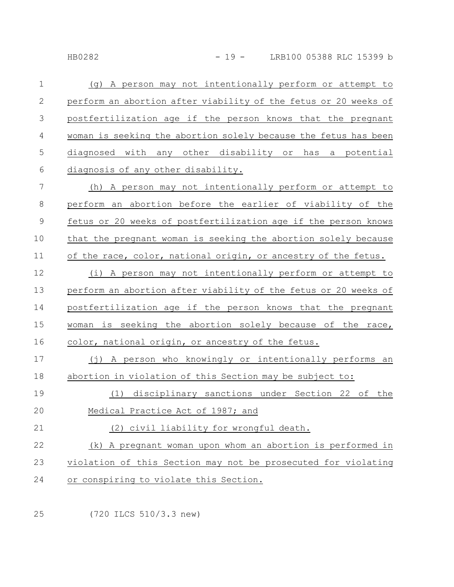| $\mathbf 1$ | A person may not intentionally perform or attempt to<br>(q)     |
|-------------|-----------------------------------------------------------------|
| 2           | perform an abortion after viability of the fetus or 20 weeks of |
| 3           | postfertilization age if the person knows that the pregnant     |
| 4           | woman is seeking the abortion solely because the fetus has been |
| 5           | diagnosed with any other disability or<br>a potential<br>has    |
| 6           | diagnosis of any other disability.                              |
| 7           | (h) A person may not intentionally perform or attempt to        |
| 8           | perform an abortion before the earlier of viability of the      |
| $\mathsf 9$ | fetus or 20 weeks of postfertilization age if the person knows  |
| 10          | that the pregnant woman is seeking the abortion solely because  |
| 11          | of the race, color, national origin, or ancestry of the fetus.  |
| 12          | (i) A person may not intentionally perform or attempt to        |
| 13          | perform an abortion after viability of the fetus or 20 weeks of |
| 14          | postfertilization age if the person knows that the pregnant     |
| 15          | woman is seeking the abortion solely because of the race,       |
| 16          | color, national origin, or ancestry of the fetus.               |
| 17          | (j) A person who knowingly or intentionally performs an         |
| 18          | abortion in violation of this Section may be subject to:        |
| 19          | (1) disciplinary sanctions under Section 22 of the              |
| 20          | Medical Practice Act of 1987; and                               |
| 21          | (2) civil liability for wrongful death.                         |
| 22          | (k) A pregnant woman upon whom an abortion is performed in      |
| 23          | violation of this Section may not be prosecuted for violating   |
| 24          | or conspiring to violate this Section.                          |
|             |                                                                 |

(720 ILCS 510/3.3 new) 25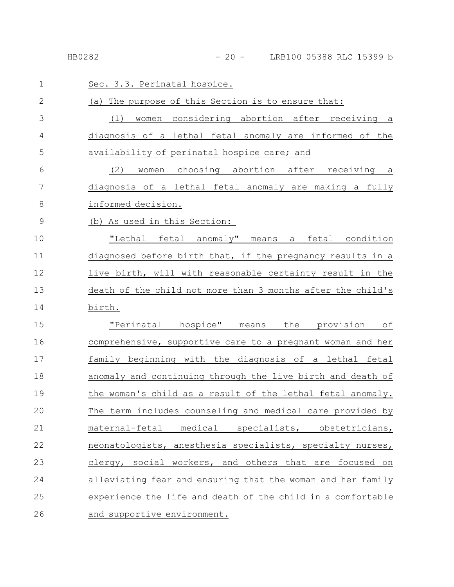| 1             | Sec. 3.3. Perinatal hospice.                                |
|---------------|-------------------------------------------------------------|
| $\mathbf{2}$  | (a) The purpose of this Section is to ensure that:          |
| 3             | women considering abortion after receiving a<br>(1)         |
| 4             | diagnosis of a lethal fetal anomaly are informed of the     |
| 5             | availability of perinatal hospice care; and                 |
| 6             | women choosing abortion after receiving a<br>(2)            |
| 7             | diagnosis of a lethal fetal anomaly are making a fully      |
| 8             | informed decision.                                          |
| $\mathcal{G}$ | (b) As used in this Section:                                |
| 10            | "Lethal fetal anomaly" means a fetal condition              |
| 11            | diagnosed before birth that, if the pregnancy results in a  |
| 12            | live birth, will with reasonable certainty result in the    |
| 13            | death of the child not more than 3 months after the child's |
| 14            | birth.                                                      |
| 15            | "Perinatal hospice" means the provision of                  |
| 16            | comprehensive, supportive care to a pregnant woman and her  |
| 17            | family beginning with the diagnosis of a lethal fetal       |
| 18            | anomaly and continuing through the live birth and death of  |
| 19            | the woman's child as a result of the lethal fetal anomaly.  |
| 20            | The term includes counseling and medical care provided by   |
| 21            | maternal-fetal<br>medical specialists, obstetricians,       |
| 22            | neonatologists, anesthesia specialists, specialty nurses,   |
| 23            | clergy, social workers, and others that are focused on      |
| 24            | alleviating fear and ensuring that the woman and her family |
| 25            | experience the life and death of the child in a comfortable |
| 26            | and supportive environment.                                 |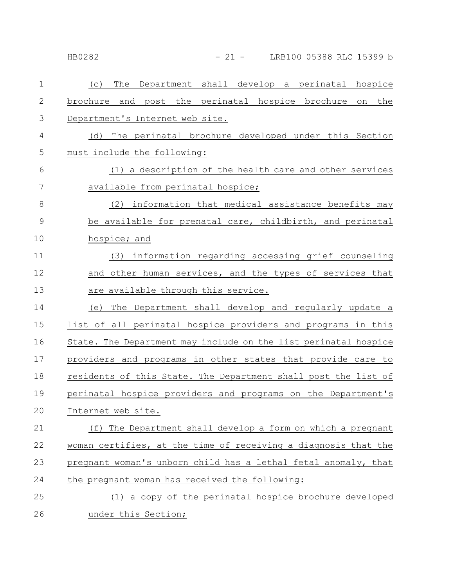HB0282 - 21 - LRB100 05388 RLC 15399 b

| $\mathbf 1$   | Department shall develop a perinatal hospice<br>The<br>(C)      |
|---------------|-----------------------------------------------------------------|
| $\mathbf{2}$  | brochure and post the perinatal hospice brochure on the         |
| 3             | Department's Internet web site.                                 |
| 4             | (d) The perinatal brochure developed under this Section         |
| 5             | must include the following:                                     |
| 6             | (1) a description of the health care and other services         |
| 7             | available from perinatal hospice;                               |
| 8             | information that medical assistance benefits may<br>(2)         |
| $\mathcal{G}$ | be available for prenatal care, childbirth, and perinatal       |
| 10            | hospice; and                                                    |
| 11            | (3) information regarding accessing grief counseling            |
| 12            | and other human services, and the types of services that        |
| 13            | are available through this service.                             |
| 14            | The Department shall develop and regularly update a<br>(e)      |
| 15            | list of all perinatal hospice providers and programs in this    |
| 16            | State. The Department may include on the list perinatal hospice |
| 17            | providers and programs in other states that provide care to     |
| 18            | residents of this State. The Department shall post the list of  |
| 19            | perinatal hospice providers and programs on the Department's    |
| 20            | Internet web site.                                              |
| 21            | (f) The Department shall develop a form on which a pregnant     |
| 22            | woman certifies, at the time of receiving a diagnosis that the  |
| 23            | pregnant woman's unborn child has a lethal fetal anomaly, that  |
| 24            | the pregnant woman has received the following:                  |
| 25            | (1) a copy of the perinatal hospice brochure developed          |
| 26            | under this Section;                                             |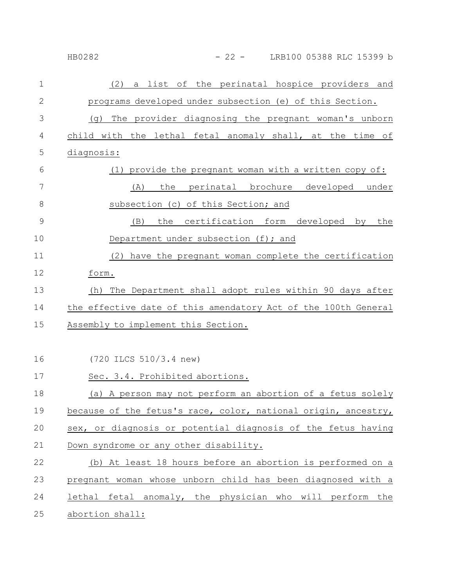| 1  | a list of the perinatal hospice providers and<br>(2)       |
|----|------------------------------------------------------------|
| 2  | programs developed under subsection (e) of this Section.   |
| 3  | The provider diagnosing the pregnant woman's unborn<br>(g) |
| 4  | child with the lethal fetal anomaly shall, at the time of  |
| 5  | diagnosis:                                                 |
| 6  | provide the pregnant woman with a written copy of:         |
| 7  | the perinatal brochure developed under<br>(A)              |
| 8  | subsection (c) of this Section; and                        |
| 9  | the certification form developed by the<br>(B)             |
| 10 | Department under subsection (f); and                       |
| 11 | (2) have the pregnant woman complete the certification     |
| 12 | form.                                                      |

HB0282 - 22 - LRB100 05388 RLC 15399 b

(h) The Department shall adopt rules within 90 days after the effective date of this amendatory Act of the 100th General Assembly to implement this Section. 13 14 15

(720 ILCS 510/3.4 new) Sec. 3.4. Prohibited abortions. (a) A person may not perform an abortion of a fetus solely because of the fetus's race, color, national origin, ancestry, sex, or diagnosis or potential diagnosis of the fetus having Down syndrome or any other disability. (b) At least 18 hours before an abortion is performed on a pregnant woman whose unborn child has been diagnosed with a lethal fetal anomaly, the physician who will perform the abortion shall: 16 17 18 19 20 21 22 23 24 25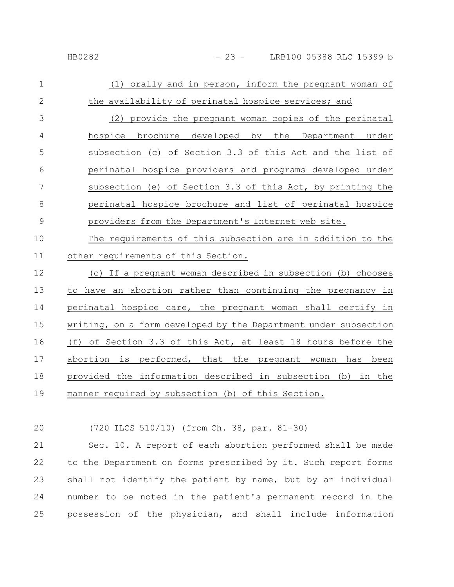| $\mathbf{1}$   | (1) orally and in person, inform the pregnant woman of     |
|----------------|------------------------------------------------------------|
| 2              | the availability of perinatal hospice services; and        |
| 3              | (2) provide the pregnant woman copies of the perinatal     |
| $\overline{4}$ | hospice brochure developed by the Department under         |
| 5              | subsection (c) of Section 3.3 of this Act and the list of  |
| 6              | perinatal hospice providers and programs developed under   |
| 7              | subsection (e) of Section 3.3 of this Act, by printing the |
| 8              | perinatal hospice brochure and list of perinatal hospice   |
| 9              | providers from the Department's Internet web site.         |
| 10             | The requirements of this subsection are in addition to the |

other requirements of this Section. 11

(c) If a pregnant woman described in subsection (b) chooses to have an abortion rather than continuing the pregnancy in perinatal hospice care, the pregnant woman shall certify in writing, on a form developed by the Department under subsection (f) of Section 3.3 of this Act, at least 18 hours before the abortion is performed, that the pregnant woman has been provided the information described in subsection (b) in the manner required by subsection (b) of this Section. 12 13 14 15 16 17 18 19

20

(720 ILCS 510/10) (from Ch. 38, par. 81-30)

Sec. 10. A report of each abortion performed shall be made to the Department on forms prescribed by it. Such report forms shall not identify the patient by name, but by an individual number to be noted in the patient's permanent record in the possession of the physician, and shall include information 21 22 23 24 25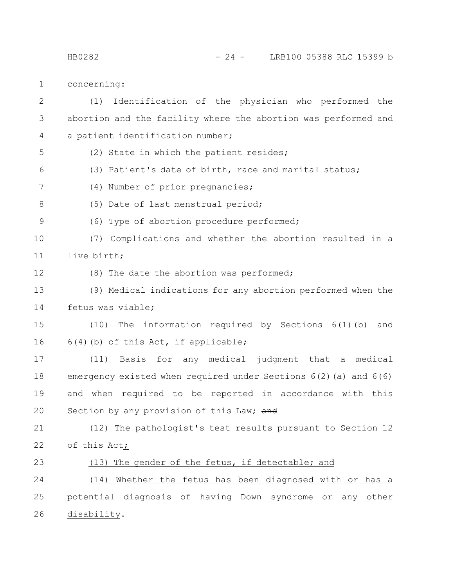HB0282 - 24 - LRB100 05388 RLC 15399 b

concerning: 1

(1) Identification of the physician who performed the abortion and the facility where the abortion was performed and a patient identification number; (2) State in which the patient resides; (3) Patient's date of birth, race and marital status; (4) Number of prior pregnancies; (5) Date of last menstrual period; (6) Type of abortion procedure performed; (7) Complications and whether the abortion resulted in a live birth; (8) The date the abortion was performed; (9) Medical indications for any abortion performed when the fetus was viable; (10) The information required by Sections 6(1)(b) and 6(4)(b) of this Act, if applicable; (11) Basis for any medical judgment that a medical emergency existed when required under Sections 6(2)(a) and 6(6) and when required to be reported in accordance with this Section by any provision of this Law; and (12) The pathologist's test results pursuant to Section 12 of this Act; (13) The gender of the fetus, if detectable; and (14) Whether the fetus has been diagnosed with or has a potential diagnosis of having Down syndrome or any other disability. 2 3 4 5 6 7 8 9 10 11 12 13 14 15 16 17 18 19 20 21 22 23 24 25 26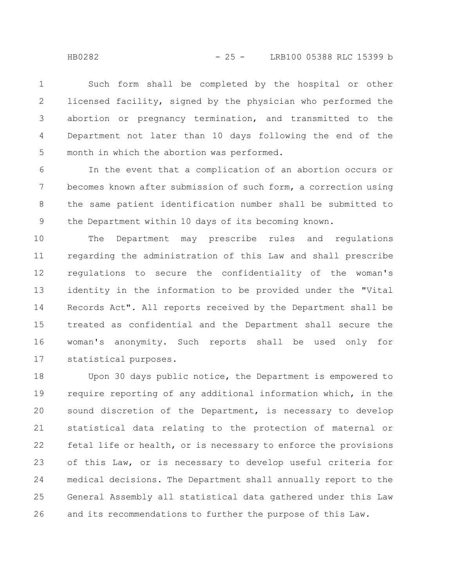Such form shall be completed by the hospital or other licensed facility, signed by the physician who performed the abortion or pregnancy termination, and transmitted to the Department not later than 10 days following the end of the month in which the abortion was performed. 1 2 3 4 5

In the event that a complication of an abortion occurs or becomes known after submission of such form, a correction using the same patient identification number shall be submitted to the Department within 10 days of its becoming known. 6 7 8 9

The Department may prescribe rules and regulations regarding the administration of this Law and shall prescribe regulations to secure the confidentiality of the woman's identity in the information to be provided under the "Vital Records Act". All reports received by the Department shall be treated as confidential and the Department shall secure the woman's anonymity. Such reports shall be used only for statistical purposes. 10 11 12 13 14 15 16 17

Upon 30 days public notice, the Department is empowered to require reporting of any additional information which, in the sound discretion of the Department, is necessary to develop statistical data relating to the protection of maternal or fetal life or health, or is necessary to enforce the provisions of this Law, or is necessary to develop useful criteria for medical decisions. The Department shall annually report to the General Assembly all statistical data gathered under this Law and its recommendations to further the purpose of this Law. 18 19 20 21 22 23 24 25 26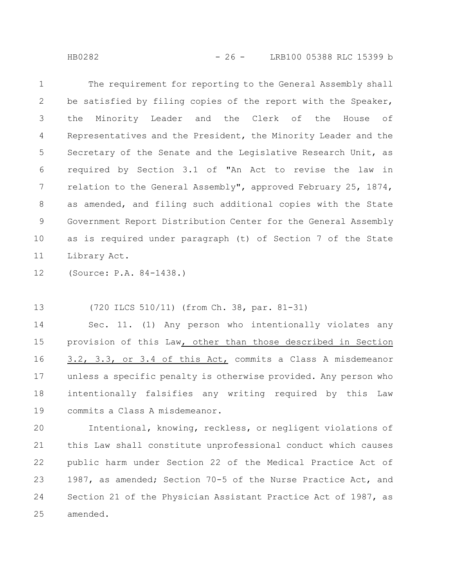HB0282 - 26 - LRB100 05388 RLC 15399 b

The requirement for reporting to the General Assembly shall be satisfied by filing copies of the report with the Speaker, the Minority Leader and the Clerk of the House of Representatives and the President, the Minority Leader and the Secretary of the Senate and the Legislative Research Unit, as required by Section 3.1 of "An Act to revise the law in relation to the General Assembly", approved February 25, 1874, as amended, and filing such additional copies with the State Government Report Distribution Center for the General Assembly as is required under paragraph (t) of Section 7 of the State Library Act. 1 2 3 4 5 6 7 8 9 10 11

(Source: P.A. 84-1438.) 12

(720 ILCS 510/11) (from Ch. 38, par. 81-31) 13

Sec. 11. (1) Any person who intentionally violates any provision of this Law, other than those described in Section 3.2, 3.3, or 3.4 of this Act, commits a Class A misdemeanor unless a specific penalty is otherwise provided. Any person who intentionally falsifies any writing required by this Law commits a Class A misdemeanor. 14 15 16 17 18 19

Intentional, knowing, reckless, or negligent violations of this Law shall constitute unprofessional conduct which causes public harm under Section 22 of the Medical Practice Act of 1987, as amended; Section 70-5 of the Nurse Practice Act, and Section 21 of the Physician Assistant Practice Act of 1987, as amended. 20 21 22 23 24 25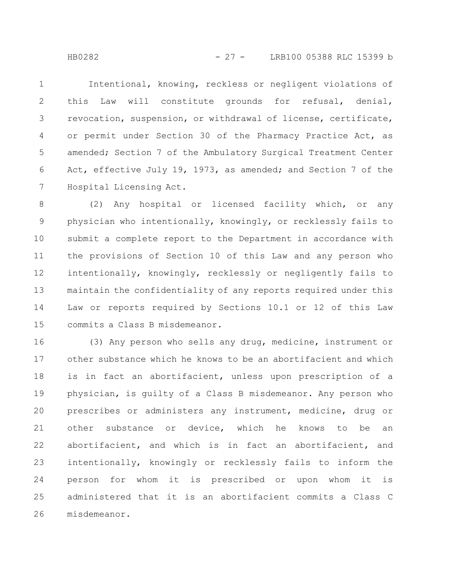Intentional, knowing, reckless or negligent violations of this Law will constitute grounds for refusal, denial, revocation, suspension, or withdrawal of license, certificate, or permit under Section 30 of the Pharmacy Practice Act, as amended; Section 7 of the Ambulatory Surgical Treatment Center Act, effective July 19, 1973, as amended; and Section 7 of the Hospital Licensing Act. 1 2 3 4 5 6 7

(2) Any hospital or licensed facility which, or any physician who intentionally, knowingly, or recklessly fails to submit a complete report to the Department in accordance with the provisions of Section 10 of this Law and any person who intentionally, knowingly, recklessly or negligently fails to maintain the confidentiality of any reports required under this Law or reports required by Sections 10.1 or 12 of this Law commits a Class B misdemeanor. 8 9 10 11 12 13 14 15

(3) Any person who sells any drug, medicine, instrument or other substance which he knows to be an abortifacient and which is in fact an abortifacient, unless upon prescription of a physician, is guilty of a Class B misdemeanor. Any person who prescribes or administers any instrument, medicine, drug or other substance or device, which he knows to be an abortifacient, and which is in fact an abortifacient, and intentionally, knowingly or recklessly fails to inform the person for whom it is prescribed or upon whom it is administered that it is an abortifacient commits a Class C misdemeanor. 16 17 18 19 20 21 22 23 24 25 26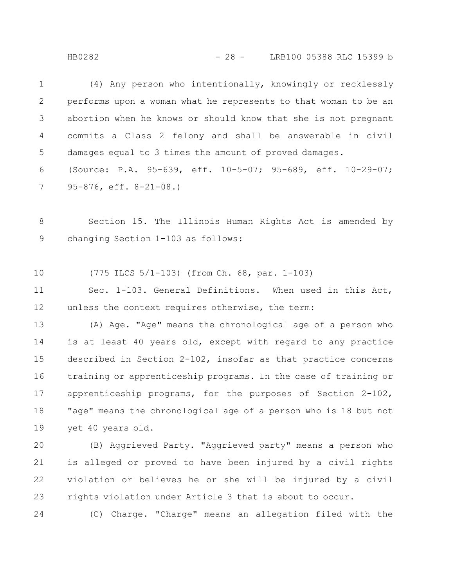HB0282 - 28 - LRB100 05388 RLC 15399 b

(4) Any person who intentionally, knowingly or recklessly performs upon a woman what he represents to that woman to be an abortion when he knows or should know that she is not pregnant commits a Class 2 felony and shall be answerable in civil damages equal to 3 times the amount of proved damages. (Source: P.A. 95-639, eff. 10-5-07; 95-689, eff. 10-29-07; 95-876, eff. 8-21-08.) 1 2 3 4 5 6 7

Section 15. The Illinois Human Rights Act is amended by changing Section 1-103 as follows: 8 9

(775 ILCS 5/1-103) (from Ch. 68, par. 1-103) 10

Sec. 1-103. General Definitions. When used in this Act, unless the context requires otherwise, the term: 11 12

(A) Age. "Age" means the chronological age of a person who is at least 40 years old, except with regard to any practice described in Section 2-102, insofar as that practice concerns training or apprenticeship programs. In the case of training or apprenticeship programs, for the purposes of Section 2-102, "age" means the chronological age of a person who is 18 but not yet 40 years old. 13 14 15 16 17 18 19

(B) Aggrieved Party. "Aggrieved party" means a person who is alleged or proved to have been injured by a civil rights violation or believes he or she will be injured by a civil rights violation under Article 3 that is about to occur. 20 21 22 23

24

(C) Charge. "Charge" means an allegation filed with the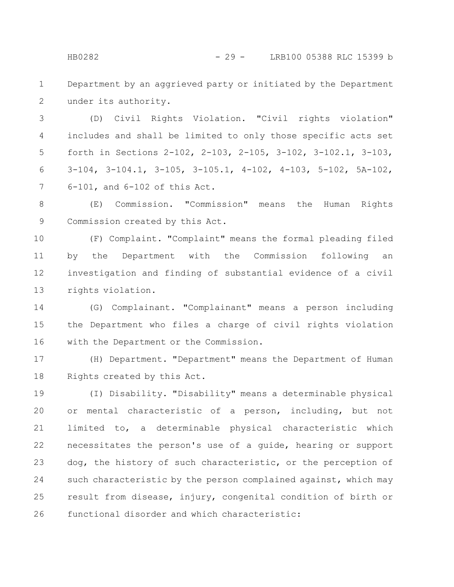Department by an aggrieved party or initiated by the Department under its authority. 1 2

(D) Civil Rights Violation. "Civil rights violation" includes and shall be limited to only those specific acts set forth in Sections 2-102, 2-103, 2-105, 3-102, 3-102.1, 3-103, 3-104, 3-104.1, 3-105, 3-105.1, 4-102, 4-103, 5-102, 5A-102, 6-101, and 6-102 of this Act. 3 4 5 6 7

(E) Commission. "Commission" means the Human Rights Commission created by this Act. 8 9

(F) Complaint. "Complaint" means the formal pleading filed by the Department with the Commission following an investigation and finding of substantial evidence of a civil rights violation. 10 11 12 13

(G) Complainant. "Complainant" means a person including the Department who files a charge of civil rights violation with the Department or the Commission. 14 15 16

(H) Department. "Department" means the Department of Human Rights created by this Act. 17 18

(I) Disability. "Disability" means a determinable physical or mental characteristic of a person, including, but not limited to, a determinable physical characteristic which necessitates the person's use of a guide, hearing or support dog, the history of such characteristic, or the perception of such characteristic by the person complained against, which may result from disease, injury, congenital condition of birth or functional disorder and which characteristic: 19 20 21 22 23 24 25 26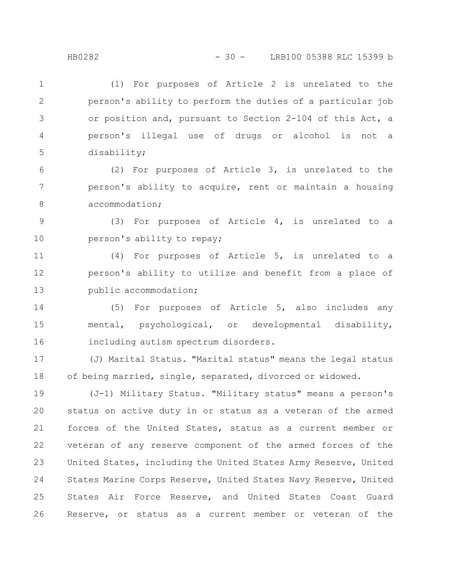(1) For purposes of Article 2 is unrelated to the person's ability to perform the duties of a particular job or position and, pursuant to Section 2-104 of this Act, a person's illegal use of drugs or alcohol is not a disability; 1 2 3 4 5

(2) For purposes of Article 3, is unrelated to the person's ability to acquire, rent or maintain a housing accommodation; 6 7 8

(3) For purposes of Article 4, is unrelated to a person's ability to repay; 9 10

(4) For purposes of Article 5, is unrelated to a person's ability to utilize and benefit from a place of public accommodation; 11 12 13

(5) For purposes of Article 5, also includes any mental, psychological, or developmental disability, including autism spectrum disorders. 14 15 16

(J) Marital Status. "Marital status" means the legal status of being married, single, separated, divorced or widowed. 17 18

(J-1) Military Status. "Military status" means a person's status on active duty in or status as a veteran of the armed forces of the United States, status as a current member or veteran of any reserve component of the armed forces of the United States, including the United States Army Reserve, United States Marine Corps Reserve, United States Navy Reserve, United States Air Force Reserve, and United States Coast Guard Reserve, or status as a current member or veteran of the 19 20 21 22 23 24 25 26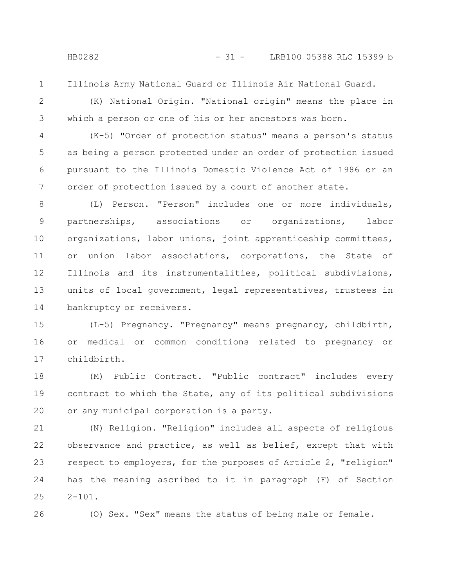1

Illinois Army National Guard or Illinois Air National Guard.

2

3

(K) National Origin. "National origin" means the place in which a person or one of his or her ancestors was born.

(K-5) "Order of protection status" means a person's status as being a person protected under an order of protection issued pursuant to the Illinois Domestic Violence Act of 1986 or an order of protection issued by a court of another state. 4 5 6 7

(L) Person. "Person" includes one or more individuals, partnerships, associations or organizations, labor organizations, labor unions, joint apprenticeship committees, or union labor associations, corporations, the State of Illinois and its instrumentalities, political subdivisions, units of local government, legal representatives, trustees in bankruptcy or receivers. 8 9 10 11 12 13 14

(L-5) Pregnancy. "Pregnancy" means pregnancy, childbirth, or medical or common conditions related to pregnancy or childbirth. 15 16 17

(M) Public Contract. "Public contract" includes every contract to which the State, any of its political subdivisions or any municipal corporation is a party. 18 19 20

(N) Religion. "Religion" includes all aspects of religious observance and practice, as well as belief, except that with respect to employers, for the purposes of Article 2, "religion" has the meaning ascribed to it in paragraph (F) of Section  $2 - 101$ . 21 22 23 24 25

26

(O) Sex. "Sex" means the status of being male or female.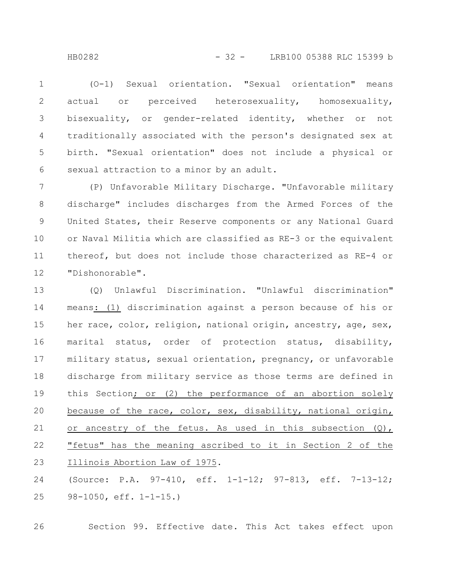(O-1) Sexual orientation. "Sexual orientation" means actual or perceived heterosexuality, homosexuality, bisexuality, or gender-related identity, whether or not traditionally associated with the person's designated sex at birth. "Sexual orientation" does not include a physical or sexual attraction to a minor by an adult. 1 2 3 4 5 6

(P) Unfavorable Military Discharge. "Unfavorable military discharge" includes discharges from the Armed Forces of the United States, their Reserve components or any National Guard or Naval Militia which are classified as RE-3 or the equivalent thereof, but does not include those characterized as RE-4 or "Dishonorable". 7 8 9 10 11 12

(Q) Unlawful Discrimination. "Unlawful discrimination" means: (1) discrimination against a person because of his or her race, color, religion, national origin, ancestry, age, sex, marital status, order of protection status, disability, military status, sexual orientation, pregnancy, or unfavorable discharge from military service as those terms are defined in this Section; or (2) the performance of an abortion solely because of the race, color, sex, disability, national origin, or ancestry of the fetus. As used in this subsection (Q), "fetus" has the meaning ascribed to it in Section 2 of the Illinois Abortion Law of 1975. 13 14 15 16 17 18 19 20 21 22 23

(Source: P.A. 97-410, eff. 1-1-12; 97-813, eff. 7-13-12; 98-1050, eff. 1-1-15.) 24 25

Section 99. Effective date. This Act takes effect upon 26